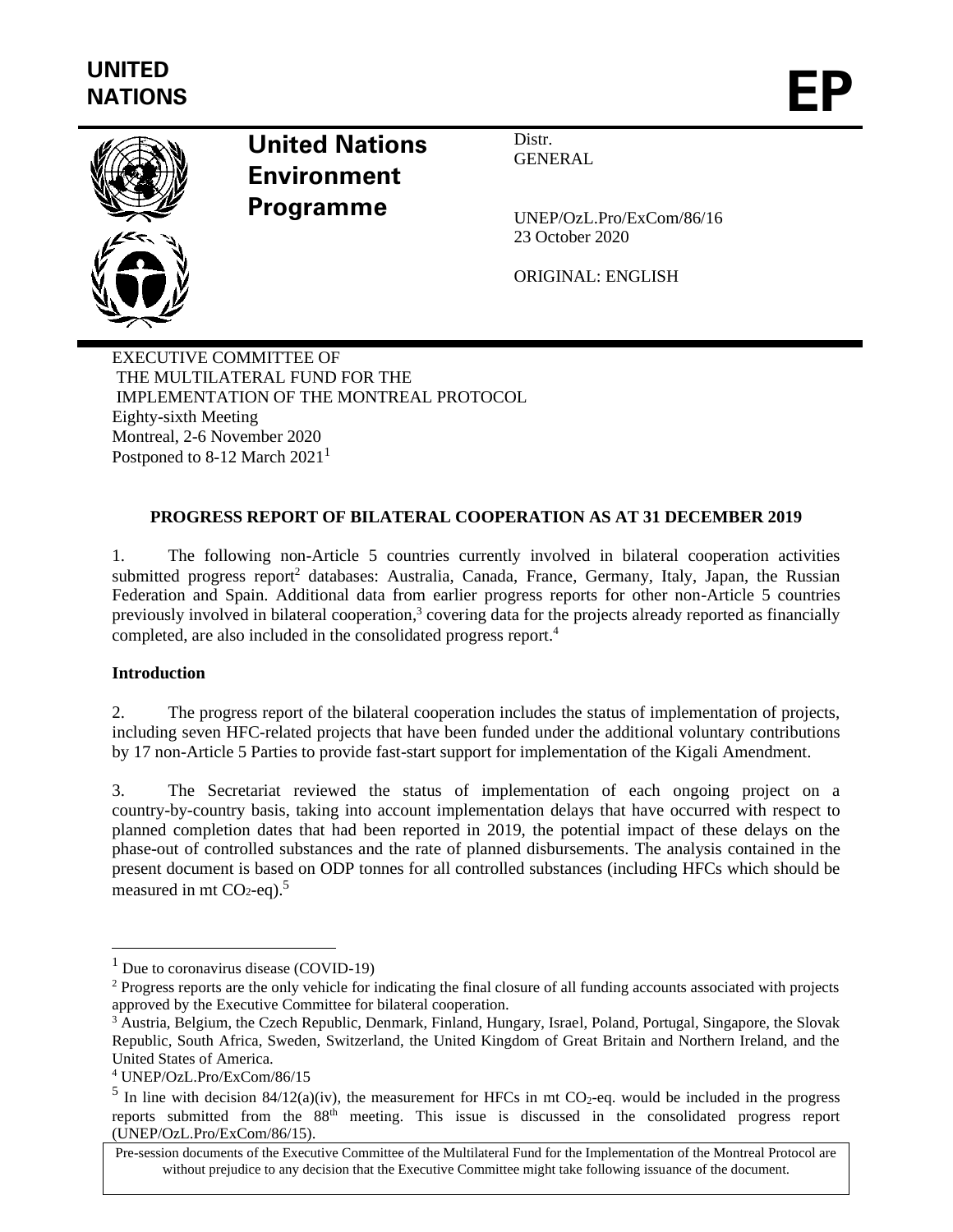

# **United Nations Environment Programme**

Distr. **GENERAL** 

UNEP/OzL.Pro/ExCom/86/16 23 October 2020

ORIGINAL: ENGLISH

EXECUTIVE COMMITTEE OF THE MULTILATERAL FUND FOR THE IMPLEMENTATION OF THE MONTREAL PROTOCOL Eighty-sixth Meeting Montreal, 2-6 November 2020 Postponed to 8-12 March  $2021<sup>1</sup>$ 

# **PROGRESS REPORT OF BILATERAL COOPERATION AS AT 31 DECEMBER 2019**

1. The following non-Article 5 countries currently involved in bilateral cooperation activities submitted progress report<sup>2</sup> databases: Australia, Canada, France, Germany, Italy, Japan, the Russian Federation and Spain. Additional data from earlier progress reports for other non-Article 5 countries previously involved in bilateral cooperation,<sup>3</sup> covering data for the projects already reported as financially completed, are also included in the consolidated progress report.<sup>4</sup>

#### **Introduction**

2. The progress report of the bilateral cooperation includes the status of implementation of projects, including seven HFC-related projects that have been funded under the additional voluntary contributions by 17 non-Article 5 Parties to provide fast-start support for implementation of the Kigali Amendment.

3. The Secretariat reviewed the status of implementation of each ongoing project on a country-by-country basis, taking into account implementation delays that have occurred with respect to planned completion dates that had been reported in 2019, the potential impact of these delays on the phase-out of controlled substances and the rate of planned disbursements. The analysis contained in the present document is based on ODP tonnes for all controlled substances (including HFCs which should be measured in mt  $CO<sub>2</sub>$ -eq).<sup>5</sup>

 $1$  Due to coronavirus disease (COVID-19)

<sup>&</sup>lt;sup>2</sup> Progress reports are the only vehicle for indicating the final closure of all funding accounts associated with projects approved by the Executive Committee for bilateral cooperation.

<sup>&</sup>lt;sup>3</sup> Austria, Belgium, the Czech Republic, Denmark, Finland, Hungary, Israel, Poland, Portugal, Singapore, the Slovak Republic, South Africa, Sweden, Switzerland, the United Kingdom of Great Britain and Northern Ireland, and the United States of America.

<sup>4</sup> UNEP/OzL.Pro/ExCom/86/15

<sup>&</sup>lt;sup>5</sup> In line with decision 84/12(a)(iv), the measurement for HFCs in mt CO<sub>2</sub>-eq. would be included in the progress reports submitted from the 88th meeting. This issue is discussed in the consolidated progress report (UNEP/OzL.Pro/ExCom/86/15).

Pre-session documents of the Executive Committee of the Multilateral Fund for the Implementation of the Montreal Protocol are without prejudice to any decision that the Executive Committee might take following issuance of the document.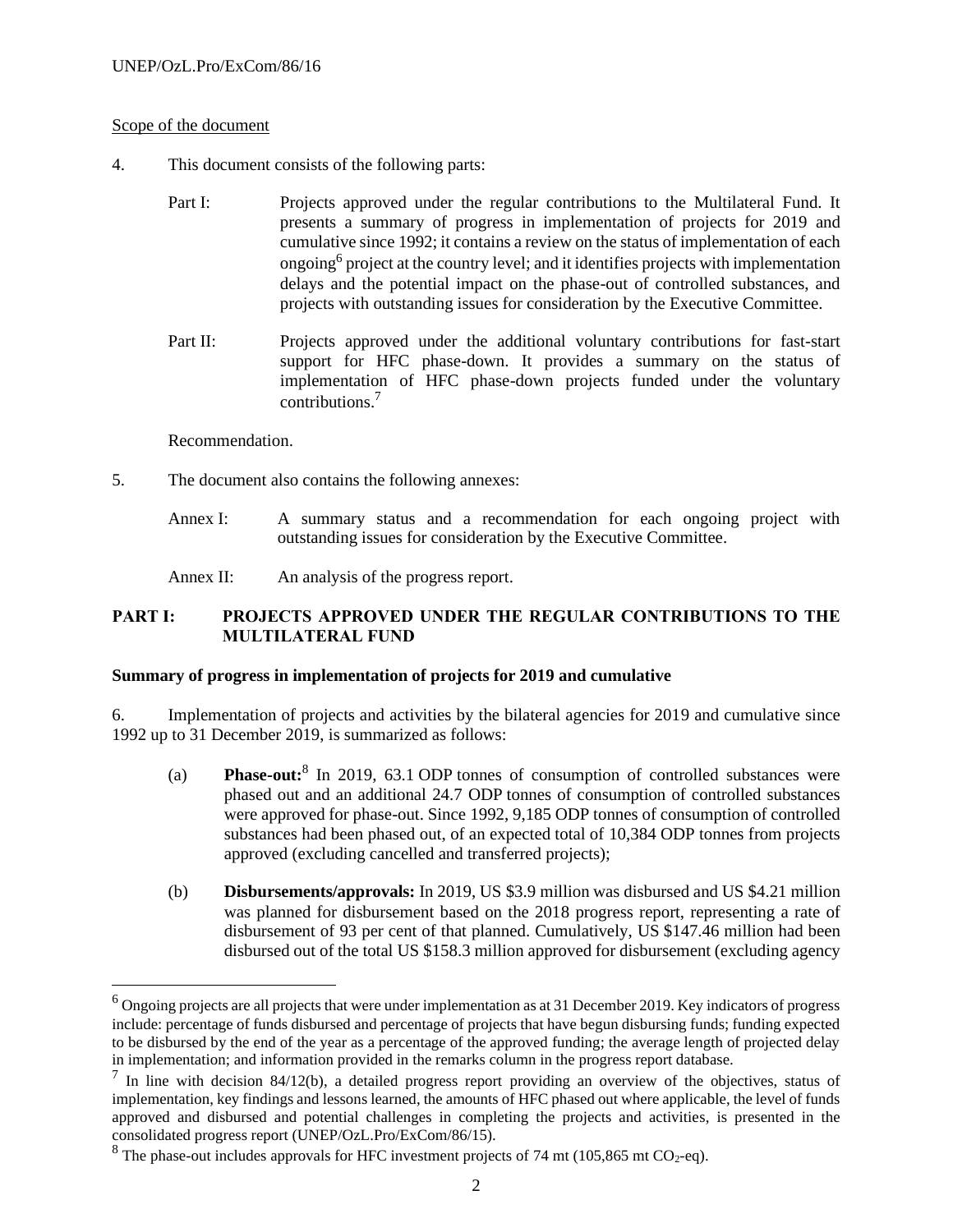#### Scope of the document

- 4. This document consists of the following parts:
	- Part I: Projects approved under the regular contributions to the Multilateral Fund. It presents a summary of progress in implementation of projects for 2019 and cumulative since 1992; it contains a review on the status of implementation of each ongoing<sup>6</sup> project at the country level; and it identifies projects with implementation delays and the potential impact on the phase-out of controlled substances, and projects with outstanding issues for consideration by the Executive Committee.
	- Part II: Projects approved under the additional voluntary contributions for fast-start support for HFC phase-down. It provides a summary on the status of implementation of HFC phase-down projects funded under the voluntary contributions.<sup>7</sup>

Recommendation.

- 5. The document also contains the following annexes:
	- Annex I: A summary status and a recommendation for each ongoing project with outstanding issues for consideration by the Executive Committee.
	- Annex II: An analysis of the progress report.

#### **PART I: PROJECTS APPROVED UNDER THE REGULAR CONTRIBUTIONS TO THE MULTILATERAL FUND**

#### **Summary of progress in implementation of projects for 2019 and cumulative**

6. Implementation of projects and activities by the bilateral agencies for 2019 and cumulative since 1992 up to 31 December 2019, is summarized as follows:

- (a) **Phase-out:**<sup>8</sup> In 2019, 63.1 ODP tonnes of consumption of controlled substances were phased out and an additional 24.7 ODP tonnes of consumption of controlled substances were approved for phase-out. Since 1992, 9,185 ODP tonnes of consumption of controlled substances had been phased out, of an expected total of 10,384 ODP tonnes from projects approved (excluding cancelled and transferred projects);
- (b) **Disbursements/approvals:** In 2019, US \$3.9 million was disbursed and US \$4.21 million was planned for disbursement based on the 2018 progress report, representing a rate of disbursement of 93 per cent of that planned. Cumulatively, US \$147.46 million had been disbursed out of the total US \$158.3 million approved for disbursement (excluding agency

 $6$  Ongoing projects are all projects that were under implementation as at 31 December 2019. Key indicators of progress include: percentage of funds disbursed and percentage of projects that have begun disbursing funds; funding expected to be disbursed by the end of the year as a percentage of the approved funding; the average length of projected delay in implementation; and information provided in the remarks column in the progress report database.

 $^7$  In line with decision 84/12(b), a detailed progress report providing an overview of the objectives, status of implementation, key findings and lessons learned, the amounts of HFC phased out where applicable, the level of funds approved and disbursed and potential challenges in completing the projects and activities, is presented in the consolidated progress report (UNEP/OzL.Pro/ExCom/86/15).

 $8$  The phase-out includes approvals for HFC investment projects of 74 mt (105,865 mt CO<sub>2</sub>-eq).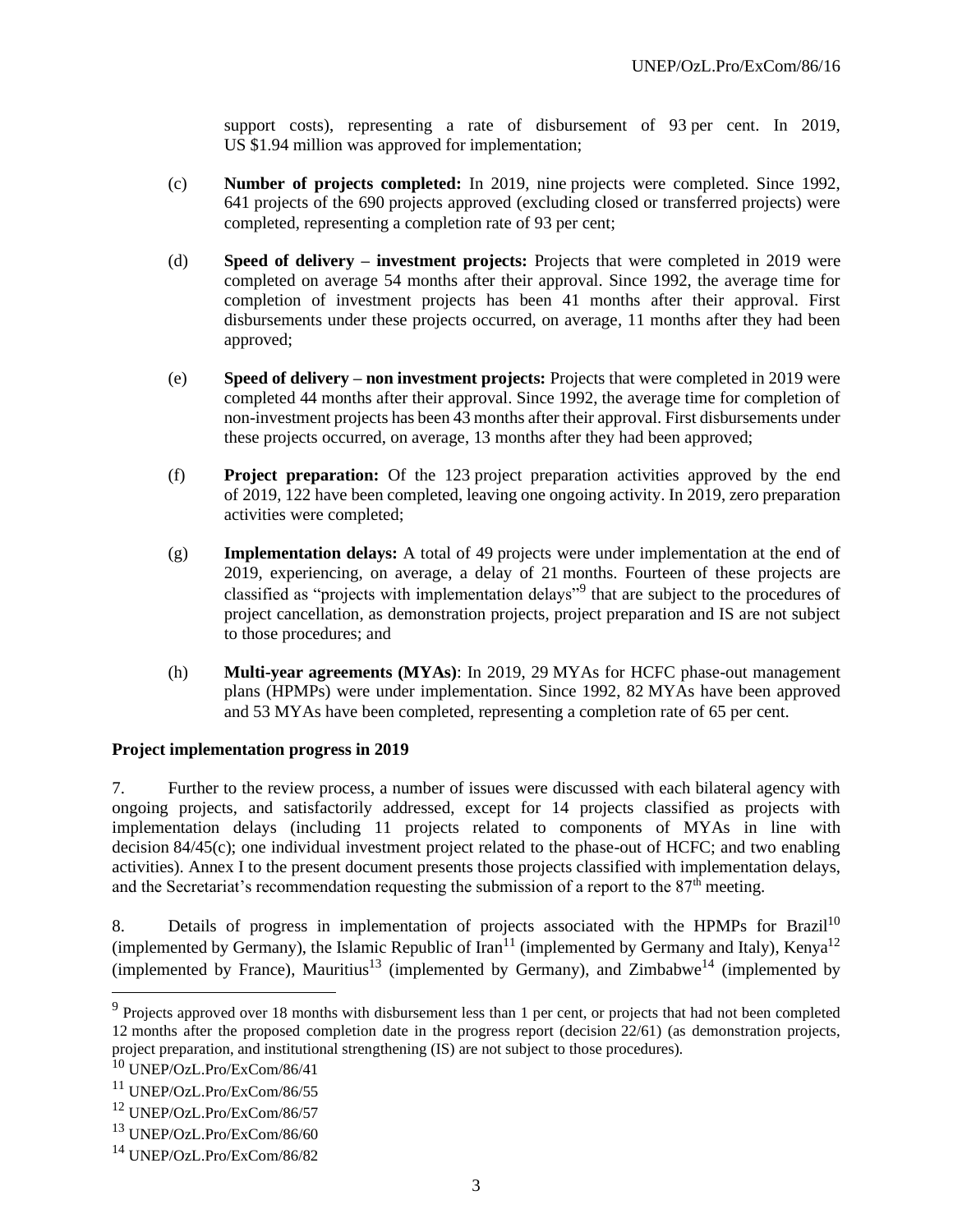support costs), representing a rate of disbursement of 93 per cent. In 2019, US \$1.94 million was approved for implementation;

- (c) **Number of projects completed:** In 2019, nine projects were completed. Since 1992, 641 projects of the 690 projects approved (excluding closed or transferred projects) were completed, representing a completion rate of 93 per cent;
- (d) **Speed of delivery – investment projects:** Projects that were completed in 2019 were completed on average 54 months after their approval. Since 1992, the average time for completion of investment projects has been 41 months after their approval. First disbursements under these projects occurred, on average, 11 months after they had been approved;
- (e) **Speed of delivery – non investment projects:** Projects that were completed in 2019 were completed 44 months after their approval. Since 1992, the average time for completion of non-investment projects has been 43 months after their approval. First disbursements under these projects occurred, on average, 13 months after they had been approved;
- (f) **Project preparation:** Of the 123 project preparation activities approved by the end of 2019, 122 have been completed, leaving one ongoing activity. In 2019, zero preparation activities were completed;
- (g) **Implementation delays:** A total of 49 projects were under implementation at the end of 2019, experiencing, on average, a delay of 21 months. Fourteen of these projects are classified as "projects with implementation delays"<sup>9</sup> that are subject to the procedures of project cancellation, as demonstration projects, project preparation and IS are not subject to those procedures; and
- (h) **Multi-year agreements (MYAs)**: In 2019, 29 MYAs for HCFC phase-out management plans (HPMPs) were under implementation. Since 1992, 82 MYAs have been approved and 53 MYAs have been completed, representing a completion rate of 65 per cent.

#### **Project implementation progress in 2019**

7. Further to the review process, a number of issues were discussed with each bilateral agency with ongoing projects, and satisfactorily addressed, except for 14 projects classified as projects with implementation delays (including 11 projects related to components of MYAs in line with decision 84/45(c); one individual investment project related to the phase-out of HCFC; and two enabling activities). Annex I to the present document presents those projects classified with implementation delays, and the Secretariat's recommendation requesting the submission of a report to the  $87<sup>th</sup>$  meeting.

8. Details of progress in implementation of projects associated with the HPMPs for Brazil<sup>10</sup> (implemented by Germany), the Islamic Republic of Iran<sup>11</sup> (implemented by Germany and Italy), Kenya<sup>12</sup> (implemented by France), Mauritius<sup>13</sup> (implemented by Germany), and Zimbabwe<sup>14</sup> (implemented by

 $9$  Projects approved over 18 months with disbursement less than 1 per cent, or projects that had not been completed 12 months after the proposed completion date in the progress report (decision 22/61) (as demonstration projects, project preparation, and institutional strengthening (IS) are not subject to those procedures).

<sup>10</sup> UNEP/OzL.Pro/ExCom/86/41

<sup>11</sup> UNEP/OzL.Pro/ExCom/86/55

<sup>12</sup> UNEP/OzL.Pro/ExCom/86/57

<sup>13</sup> UNEP/OzL.Pro/ExCom/86/60

<sup>14</sup> UNEP/OzL.Pro/ExCom/86/82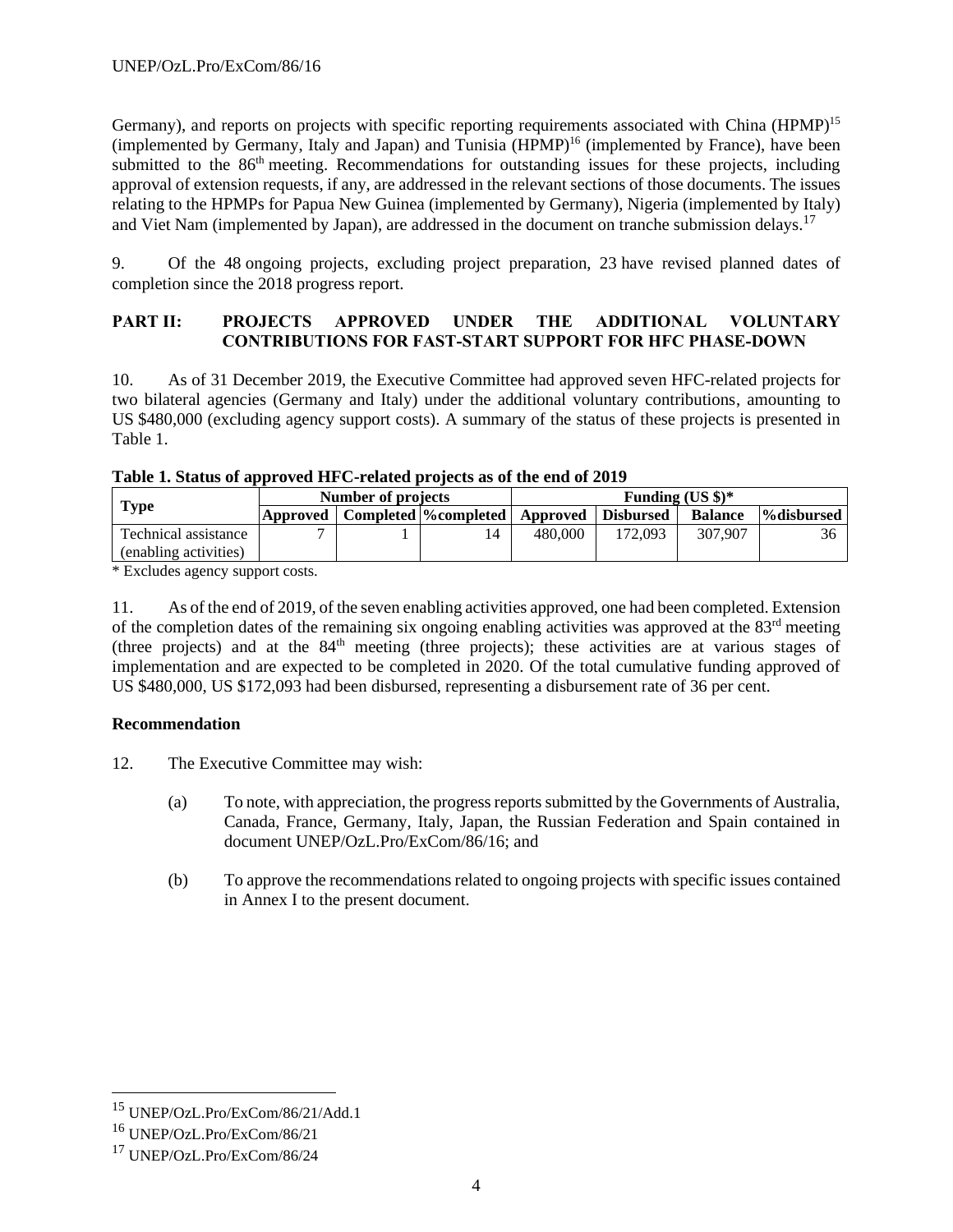Germany), and reports on projects with specific reporting requirements associated with China (HPMP)<sup>15</sup> (implemented by Germany, Italy and Japan) and Tunisia (HPMP)<sup>16</sup> (implemented by France), have been submitted to the 86<sup>th</sup> meeting. Recommendations for outstanding issues for these projects, including approval of extension requests, if any, are addressed in the relevant sections of those documents. The issues relating to the HPMPs for Papua New Guinea (implemented by Germany), Nigeria (implemented by Italy) and Viet Nam (implemented by Japan), are addressed in the document on tranche submission delays.<sup>17</sup>

9. Of the 48 ongoing projects, excluding project preparation, 23 have revised planned dates of completion since the 2018 progress report.

### **PART II: PROJECTS APPROVED UNDER THE ADDITIONAL VOLUNTARY CONTRIBUTIONS FOR FAST-START SUPPORT FOR HFC PHASE-DOWN**

10. As of 31 December 2019, the Executive Committee had approved seven HFC-related projects for two bilateral agencies (Germany and Italy) under the additional voluntary contributions, amounting to US \$480,000 (excluding agency support costs). A summary of the status of these projects is presented in Table 1.

| Table 1. Status of approved HFC-related projects as of the end of 2019 |                  |
|------------------------------------------------------------------------|------------------|
| Number of projects                                                     | <b>Funding</b> ( |

|                       | Number of projects |                                                         | Funding $(US \text{ } $)\text{*}$ |         |                |            |  |  |
|-----------------------|--------------------|---------------------------------------------------------|-----------------------------------|---------|----------------|------------|--|--|
| <b>Type</b>           |                    | Approved   Completed  %completed   Approved   Disbursed |                                   |         | <b>Balance</b> | %disbursed |  |  |
| Technical assistance  |                    | $\overline{14}$                                         | 480,000                           | 172.093 | 307,907        | 36         |  |  |
| (enabling activities) |                    |                                                         |                                   |         |                |            |  |  |

\* Excludes agency support costs.

11. As of the end of 2019, of the seven enabling activities approved, one had been completed. Extension of the completion dates of the remaining six ongoing enabling activities was approved at the 83rd meeting (three projects) and at the 84<sup>th</sup> meeting (three projects); these activities are at various stages of implementation and are expected to be completed in 2020. Of the total cumulative funding approved of US \$480,000, US \$172,093 had been disbursed, representing a disbursement rate of 36 per cent.

# **Recommendation**

- 12. The Executive Committee may wish:
	- (a) To note, with appreciation, the progress reports submitted by the Governments of Australia, Canada, France, Germany, Italy, Japan, the Russian Federation and Spain contained in document UNEP/OzL.Pro/ExCom/86/16; and
	- (b) To approve the recommendations related to ongoing projects with specific issues contained in Annex I to the present document.

<sup>15</sup> UNEP/OzL.Pro/ExCom/86/21/Add.1

<sup>16</sup> UNEP/OzL.Pro/ExCom/86/21

<sup>17</sup> UNEP/OzL.Pro/ExCom/86/24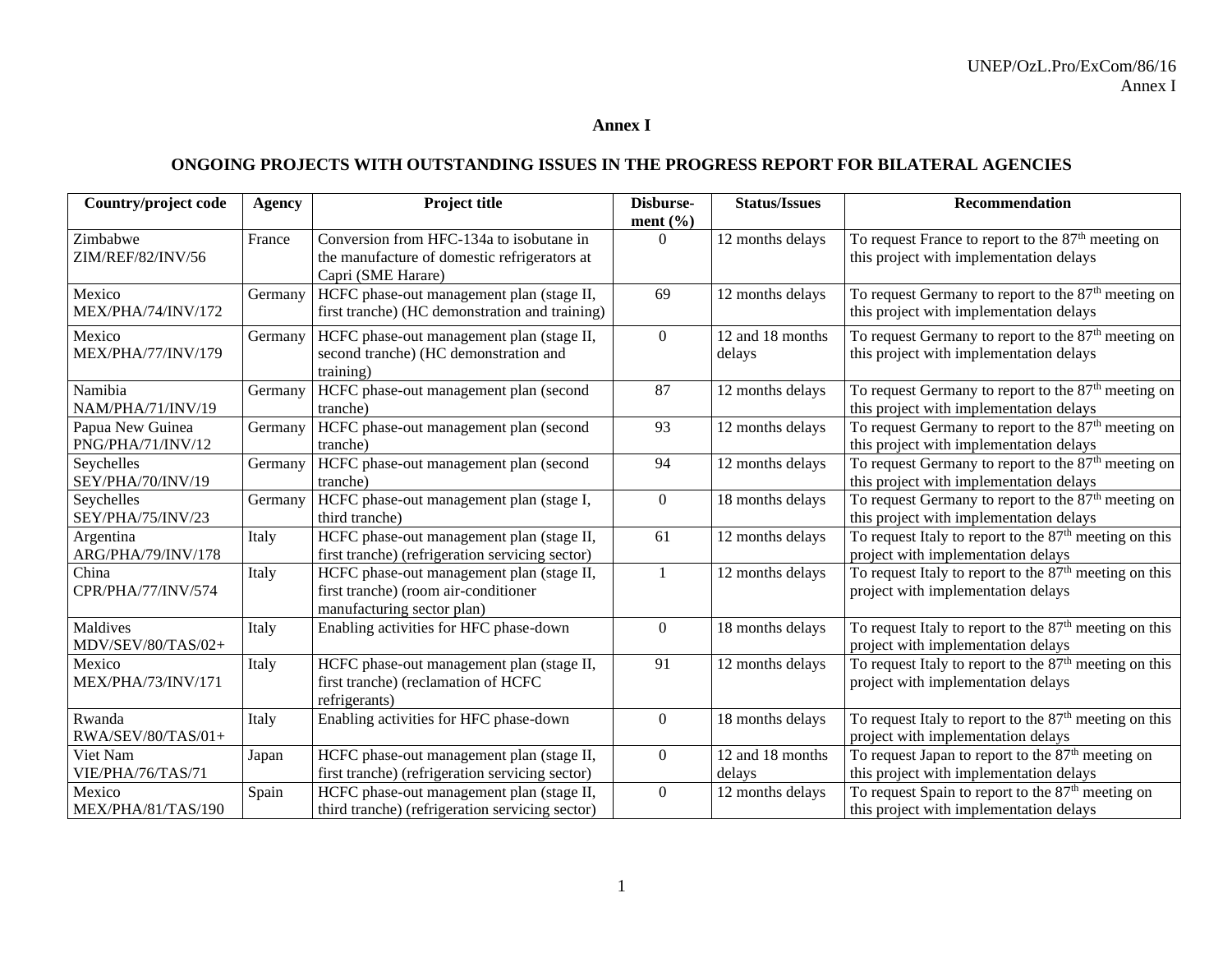#### **Annex I**

# **ONGOING PROJECTS WITH OUTSTANDING ISSUES IN THE PROGRESS REPORT FOR BILATERAL AGENCIES**

| Country/project code                  | Agency  | Project title                                                                                                   | Disburse-<br>ment $(\% )$ | <b>Status/Issues</b>       | Recommendation                                                                                             |
|---------------------------------------|---------|-----------------------------------------------------------------------------------------------------------------|---------------------------|----------------------------|------------------------------------------------------------------------------------------------------------|
| Zimbabwe<br>ZIM/REF/82/INV/56         | France  | Conversion from HFC-134a to isobutane in<br>the manufacture of domestic refrigerators at<br>Capri (SME Harare)  | $\overline{0}$            | 12 months delays           | To request France to report to the 87 <sup>th</sup> meeting on<br>this project with implementation delays  |
| Mexico<br>MEX/PHA/74/INV/172          | Germany | HCFC phase-out management plan (stage II,<br>first tranche) (HC demonstration and training)                     | 69                        | 12 months delays           | To request Germany to report to the 87 <sup>th</sup> meeting on<br>this project with implementation delays |
| Mexico<br>MEX/PHA/77/INV/179          | Germany | HCFC phase-out management plan (stage II,<br>second tranche) (HC demonstration and<br>training)                 | $\boldsymbol{0}$          | 12 and 18 months<br>delays | To request Germany to report to the 87 <sup>th</sup> meeting on<br>this project with implementation delays |
| Namibia<br>NAM/PHA/71/INV/19          | Germany | HCFC phase-out management plan (second<br>tranche)                                                              | 87                        | 12 months delays           | To request Germany to report to the 87 <sup>th</sup> meeting on<br>this project with implementation delays |
| Papua New Guinea<br>PNG/PHA/71/INV/12 | Germany | HCFC phase-out management plan (second<br>tranche)                                                              | 93                        | 12 months delays           | To request Germany to report to the $87th$ meeting on<br>this project with implementation delays           |
| Seychelles<br>SEY/PHA/70/INV/19       | Germany | HCFC phase-out management plan (second<br>tranche)                                                              | 94                        | 12 months delays           | To request Germany to report to the 87 <sup>th</sup> meeting on<br>this project with implementation delays |
| Seychelles<br>SEY/PHA/75/INV/23       | Germany | HCFC phase-out management plan (stage I,<br>third tranche)                                                      | $\overline{0}$            | 18 months delays           | To request Germany to report to the 87 <sup>th</sup> meeting on<br>this project with implementation delays |
| Argentina<br>ARG/PHA/79/INV/178       | Italy   | HCFC phase-out management plan (stage II,<br>first tranche) (refrigeration servicing sector)                    | 61                        | 12 months delays           | To request Italy to report to the 87 <sup>th</sup> meeting on this<br>project with implementation delays   |
| China<br>CPR/PHA/77/INV/574           | Italy   | HCFC phase-out management plan (stage II,<br>first tranche) (room air-conditioner<br>manufacturing sector plan) | $\mathbf{1}$              | 12 months delays           | To request Italy to report to the 87 <sup>th</sup> meeting on this<br>project with implementation delays   |
| Maldives<br>MDV/SEV/80/TAS/02+        | Italy   | Enabling activities for HFC phase-down                                                                          | $\overline{0}$            | 18 months delays           | To request Italy to report to the $87th$ meeting on this<br>project with implementation delays             |
| Mexico<br>MEX/PHA/73/INV/171          | Italy   | HCFC phase-out management plan (stage II,<br>first tranche) (reclamation of HCFC<br>refrigerants)               | 91                        | 12 months delays           | To request Italy to report to the $87th$ meeting on this<br>project with implementation delays             |
| Rwanda<br>RWA/SEV/80/TAS/01+          | Italy   | Enabling activities for HFC phase-down                                                                          | $\boldsymbol{0}$          | 18 months delays           | To request Italy to report to the $87th$ meeting on this<br>project with implementation delays             |
| Viet Nam<br>VIE/PHA/76/TAS/71         | Japan   | HCFC phase-out management plan (stage II,<br>first tranche) (refrigeration servicing sector)                    | $\boldsymbol{0}$          | 12 and 18 months<br>delays | To request Japan to report to the $87th$ meeting on<br>this project with implementation delays             |
| Mexico<br>MEX/PHA/81/TAS/190          | Spain   | HCFC phase-out management plan (stage II,<br>third tranche) (refrigeration servicing sector)                    | $\overline{0}$            | 12 months delays           | To request Spain to report to the 87 <sup>th</sup> meeting on<br>this project with implementation delays   |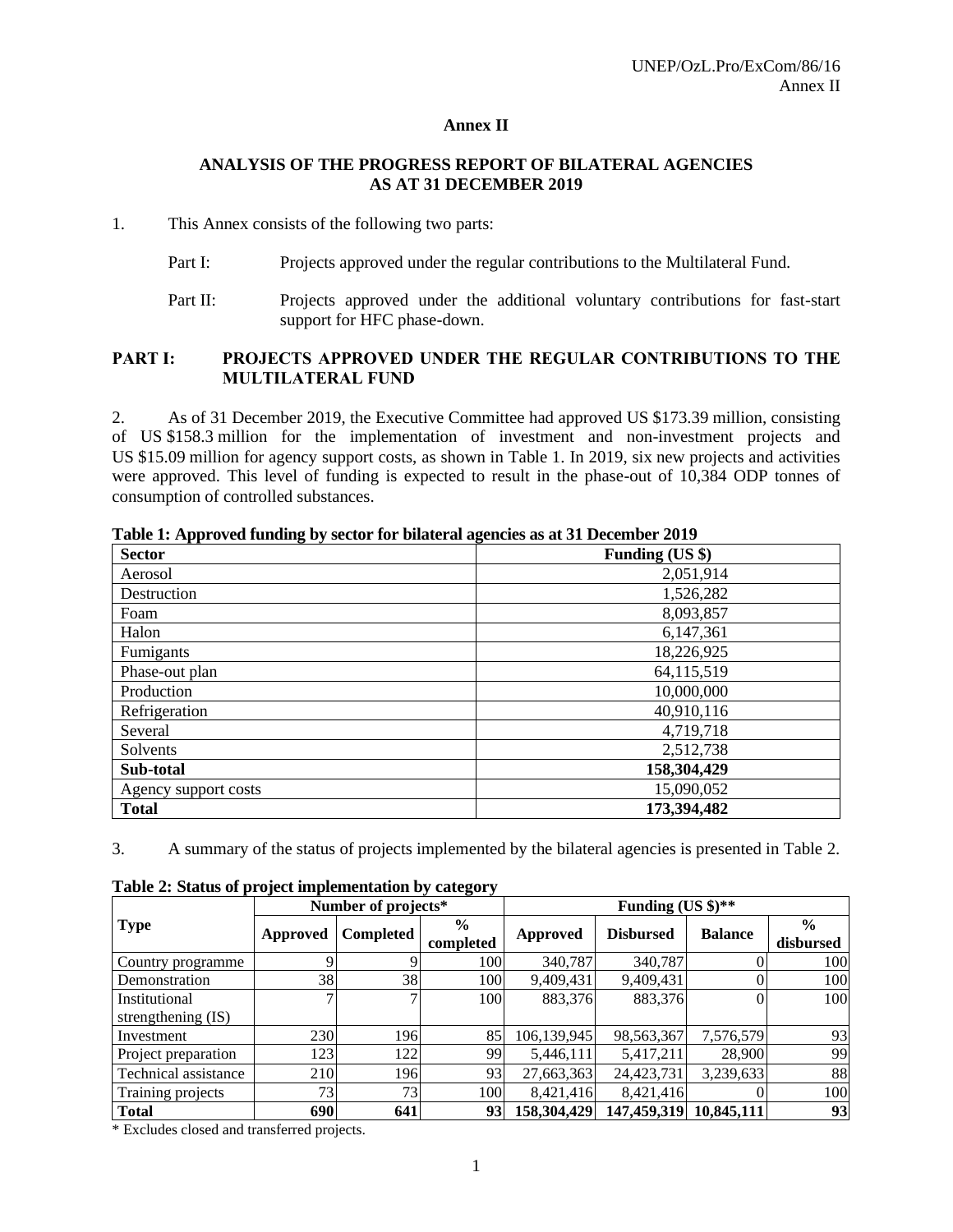#### **Annex II**

#### **ANALYSIS OF THE PROGRESS REPORT OF BILATERAL AGENCIES AS AT 31 DECEMBER 2019**

#### 1. This Annex consists of the following two parts:

- Part I: Projects approved under the regular contributions to the Multilateral Fund.
- Part II: Projects approved under the additional voluntary contributions for fast-start support for HFC phase-down.

#### **PART I: PROJECTS APPROVED UNDER THE REGULAR CONTRIBUTIONS TO THE MULTILATERAL FUND**

2. As of 31 December 2019, the Executive Committee had approved US \$173.39 million, consisting of US \$158.3 million for the implementation of investment and non-investment projects and US \$15.09 million for agency support costs, as shown in Table 1. In 2019, six new projects and activities were approved. This level of funding is expected to result in the phase-out of 10,384 ODP tonnes of consumption of controlled substances.

| <b>Sector</b>        | -<br>Funding (US \$) |
|----------------------|----------------------|
| Aerosol              | 2,051,914            |
| Destruction          | 1,526,282            |
| Foam                 | 8,093,857            |
| Halon                | 6,147,361            |
| Fumigants            | 18,226,925           |
| Phase-out plan       | 64,115,519           |
| Production           | 10,000,000           |
| Refrigeration        | 40,910,116           |
| Several              | 4,719,718            |
| Solvents             | 2,512,738            |
| Sub-total            | 158,304,429          |
| Agency support costs | 15,090,052           |
| <b>Total</b>         | 173,394,482          |

**Table 1: Approved funding by sector for bilateral agencies as at 31 December 2019**

3. A summary of the status of projects implemented by the bilateral agencies is presented in Table 2.

|                                     |                       | Number of projects* |                            | Funding (US $\frac{1}{2}$ )** |                  |                |                            |  |  |
|-------------------------------------|-----------------------|---------------------|----------------------------|-------------------------------|------------------|----------------|----------------------------|--|--|
| <b>Type</b>                         | Completed<br>Approved |                     | $\frac{6}{9}$<br>completed | Approved                      | <b>Disbursed</b> | <b>Balance</b> | $\frac{0}{0}$<br>disbursed |  |  |
| Country programme                   |                       |                     | 100                        | 340,787                       | 340,787          |                | 100                        |  |  |
| Demonstration                       | 38                    | 38                  | 100                        | 9,409,431                     | 9,409,431        |                | 100                        |  |  |
| Institutional<br>strengthening (IS) |                       | 7                   | 100                        | 883,376                       | 883,376          |                | 100                        |  |  |
| Investment                          | 230                   | 196                 | 85                         | 106,139,945                   | 98,563,367       | 7,576,579      | 93                         |  |  |
| Project preparation                 | 123                   | 122                 | 99                         | 5,446,111                     | 5,417,211        | 28,900         | 99                         |  |  |
| Technical assistance                | 210                   | 196                 | 93                         | 27,663,363                    | 24,423,731       | 3,239,633      | 88                         |  |  |
| Training projects                   | 73                    | 73                  | 100                        | 8,421,416                     | 8,421,416        |                | 100                        |  |  |
| <b>Total</b>                        | 690                   | 641                 | 93                         | 158,304,429                   | 147,459,319      | 10,845,111     | 93                         |  |  |

**Table 2: Status of project implementation by category**

\* Excludes closed and transferred projects.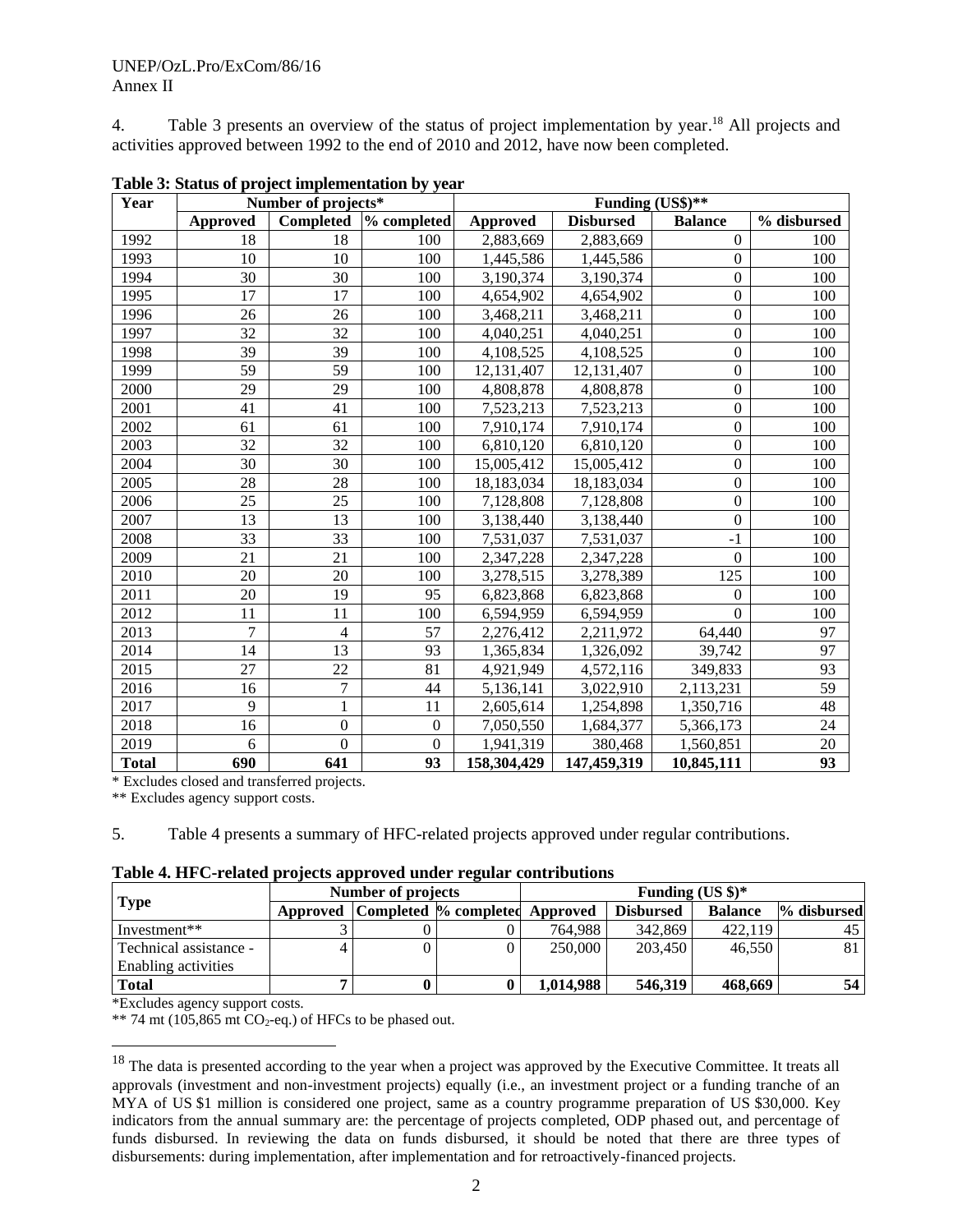4. Table 3 presents an overview of the status of project implementation by year. <sup>18</sup> All projects and activities approved between 1992 to the end of 2010 and 2012, have now been completed.

| Year         |                 | Number of projects* |              | Funding (US\$)** |                  |                  |             |  |  |  |  |
|--------------|-----------------|---------------------|--------------|------------------|------------------|------------------|-------------|--|--|--|--|
|              | <b>Approved</b> | <b>Completed</b>    | % completed  | Approved         | <b>Disbursed</b> | <b>Balance</b>   | % disbursed |  |  |  |  |
| 1992         | 18              | 18                  | 100          | 2,883,669        | 2,883,669        | $\mathbf{0}$     | 100         |  |  |  |  |
| 1993         | 10              | 10                  | 100          | 1,445,586        | 1,445,586        | $\Omega$         | 100         |  |  |  |  |
| 1994         | 30              | 30                  | 100          | 3,190,374        | 3,190,374        | $\overline{0}$   | 100         |  |  |  |  |
| 1995         | 17              | 17                  | 100          | 4,654,902        | 4,654,902        | $\mathbf{0}$     | 100         |  |  |  |  |
| 1996         | 26              | 26                  | 100          | 3,468,211        | 3,468,211        | $\overline{0}$   | 100         |  |  |  |  |
| 1997         | 32              | 32                  | 100          | 4,040,251        | 4,040,251        | $\boldsymbol{0}$ | 100         |  |  |  |  |
| 1998         | 39              | 39                  | 100          | 4,108,525        | 4,108,525        | $\mathbf{0}$     | 100         |  |  |  |  |
| 1999         | 59              | 59                  | 100          | 12,131,407       | 12, 131, 407     | $\boldsymbol{0}$ | 100         |  |  |  |  |
| 2000         | 29              | 29                  | 100          | 4,808,878        | 4,808,878        | $\mathbf{0}$     | 100         |  |  |  |  |
| 2001         | 41              | 41                  | 100          | 7,523,213        | 7,523,213        | $\Omega$         | 100         |  |  |  |  |
| 2002         | 61              | 61                  | 100          | 7,910,174        | 7,910,174        | $\overline{0}$   | 100         |  |  |  |  |
| 2003         | 32              | 32                  | 100          | 6,810,120        | 6,810,120        | $\boldsymbol{0}$ | 100         |  |  |  |  |
| 2004         | 30              | 30                  | 100          | 15,005,412       | 15,005,412       | $\mathbf{0}$     | 100         |  |  |  |  |
| 2005         | 28              | 28                  | 100          | 18,183,034       | 18,183,034       | $\mathbf{0}$     | 100         |  |  |  |  |
| 2006         | 25              | 25                  | 100          | 7,128,808        | 7,128,808        | $\overline{0}$   | 100         |  |  |  |  |
| 2007         | 13              | 13                  | 100          | 3,138,440        | 3,138,440        | $\boldsymbol{0}$ | 100         |  |  |  |  |
| 2008         | 33              | 33                  | 100          | 7,531,037        | 7,531,037        | $-1$             | 100         |  |  |  |  |
| 2009         | 21              | 21                  | 100          | 2,347,228        | 2,347,228        | $\mathbf{0}$     | 100         |  |  |  |  |
| 2010         | 20              | 20                  | 100          | 3,278,515        | 3,278,389        | 125              | 100         |  |  |  |  |
| 2011         | 20              | 19                  | 95           | 6,823,868        | 6,823,868        | $\boldsymbol{0}$ | 100         |  |  |  |  |
| 2012         | 11              | 11                  | 100          | 6,594,959        | 6,594,959        | $\Omega$         | 100         |  |  |  |  |
| 2013         | $\overline{7}$  | $\overline{4}$      | 57           | 2,276,412        | 2,211,972        | 64,440           | 97          |  |  |  |  |
| 2014         | 14              | 13                  | 93           | 1,365,834        | 1,326,092        | 39,742           | 97          |  |  |  |  |
| 2015         | 27              | 22                  | 81           | 4,921,949        | 4,572,116        | 349,833          | 93          |  |  |  |  |
| 2016         | 16              | 7                   | 44           | 5,136,141        | 3,022,910        | 2,113,231        | 59          |  |  |  |  |
| 2017         | 9               | 1                   | 11           | 2,605,614        | 1,254,898        | 1,350,716        | 48          |  |  |  |  |
| 2018         | 16              | $\boldsymbol{0}$    | $\mathbf{0}$ | 7,050,550        | 1,684,377        | 5,366,173        | 24          |  |  |  |  |
| 2019         | 6               | $\theta$            | $\Omega$     | 1,941,319        | 380,468          | 1,560,851        | 20          |  |  |  |  |
| <b>Total</b> | 690             | 641                 | 93           | 158,304,429      | 147,459,319      | 10,845,111       | 93          |  |  |  |  |

**Table 3: Status of project implementation by year**

\* Excludes closed and transferred projects.

\*\* Excludes agency support costs.

5. Table 4 presents a summary of HFC-related projects approved under regular contributions.

|  | Table 4. HFC-related projects approved under regular contributions |  |  |  |
|--|--------------------------------------------------------------------|--|--|--|
|--|--------------------------------------------------------------------|--|--|--|

|                        | Number of projects |                                         | Funding $(US \text{ } $)\text{*}$ |                  |                |             |  |
|------------------------|--------------------|-----------------------------------------|-----------------------------------|------------------|----------------|-------------|--|
| <b>Type</b>            |                    | Approved Completed % completed Approved |                                   | <b>Disbursed</b> | <b>Balance</b> | % disbursed |  |
| Investment**           |                    |                                         | 764.988                           | 342,869          | 422,119        | 45          |  |
| Technical assistance - |                    |                                         | 250,000                           | 203.450          | 46.550         | 81-         |  |
| Enabling activities    |                    |                                         |                                   |                  |                |             |  |
| <b>Total</b>           |                    |                                         | 1,014,988                         | 546,319          | 468.669        | 54          |  |

\*Excludes agency support costs.

 $**$  74 mt (105,865 mt CO<sub>2</sub>-eq.) of HFCs to be phased out.

<sup>&</sup>lt;sup>18</sup> The data is presented according to the year when a project was approved by the Executive Committee. It treats all approvals (investment and non-investment projects) equally (i.e., an investment project or a funding tranche of an MYA of US \$1 million is considered one project, same as a country programme preparation of US \$30,000. Key indicators from the annual summary are: the percentage of projects completed, ODP phased out, and percentage of funds disbursed. In reviewing the data on funds disbursed, it should be noted that there are three types of disbursements: during implementation, after implementation and for retroactively-financed projects.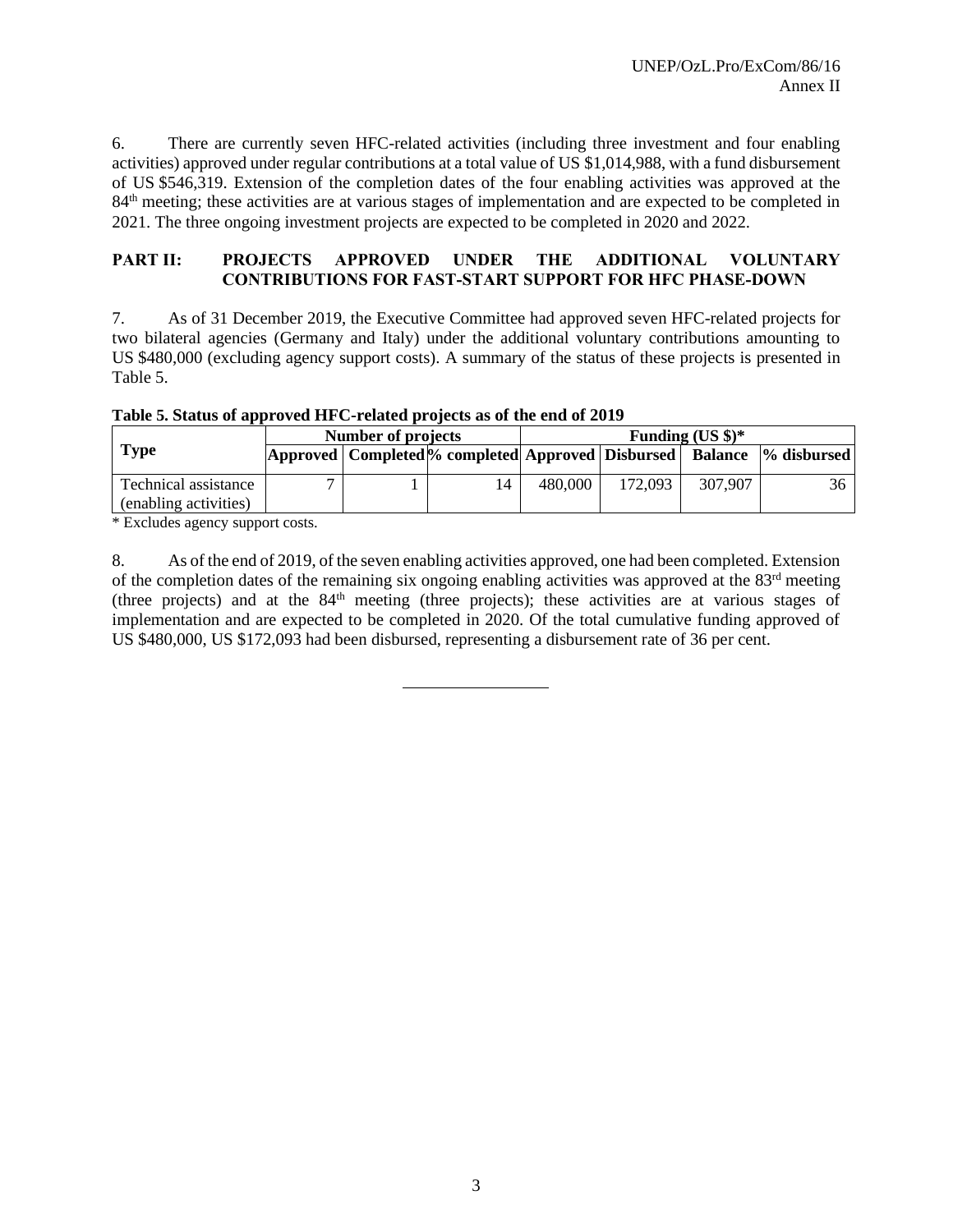6. There are currently seven HFC-related activities (including three investment and four enabling activities) approved under regular contributions at a total value of US \$1,014,988, with a fund disbursement of US \$546,319. Extension of the completion dates of the four enabling activities was approved at the 84<sup>th</sup> meeting; these activities are at various stages of implementation and are expected to be completed in 2021. The three ongoing investment projects are expected to be completed in 2020 and 2022.

#### **PART II: PROJECTS APPROVED UNDER THE ADDITIONAL VOLUNTARY CONTRIBUTIONS FOR FAST-START SUPPORT FOR HFC PHASE-DOWN**

7. As of 31 December 2019, the Executive Committee had approved seven HFC-related projects for two bilateral agencies (Germany and Italy) under the additional voluntary contributions amounting to US \$480,000 (excluding agency support costs). A summary of the status of these projects is presented in Table 5.

**Table 5. Status of approved HFC-related projects as of the end of 2019 Number of projects Funding (US \$)\*** 

|                                               | Number of projects |                                                                               | Funding $(US \text{ } s)*$ |         |         |    |  |  |
|-----------------------------------------------|--------------------|-------------------------------------------------------------------------------|----------------------------|---------|---------|----|--|--|
| <b>Type</b>                                   |                    | Approved   Completed % completed  Approved   Disbursed   Balance  % disbursed |                            |         |         |    |  |  |
| Technical assistance<br>(enabling activities) |                    | 14                                                                            | 480,000                    | 172,093 | 307,907 | 36 |  |  |
| $\sim$ T 1 1 $\sim$ $\sim$ $\sim$ $\sim$      |                    |                                                                               |                            |         |         |    |  |  |

\* Excludes agency support costs.

8. As of the end of 2019, of the seven enabling activities approved, one had been completed. Extension of the completion dates of the remaining six ongoing enabling activities was approved at the  $83<sup>rd</sup>$  meeting (three projects) and at the  $84<sup>th</sup>$  meeting (three projects); these activities are at various stages of implementation and are expected to be completed in 2020. Of the total cumulative funding approved of US \$480,000, US \$172,093 had been disbursed, representing a disbursement rate of 36 per cent.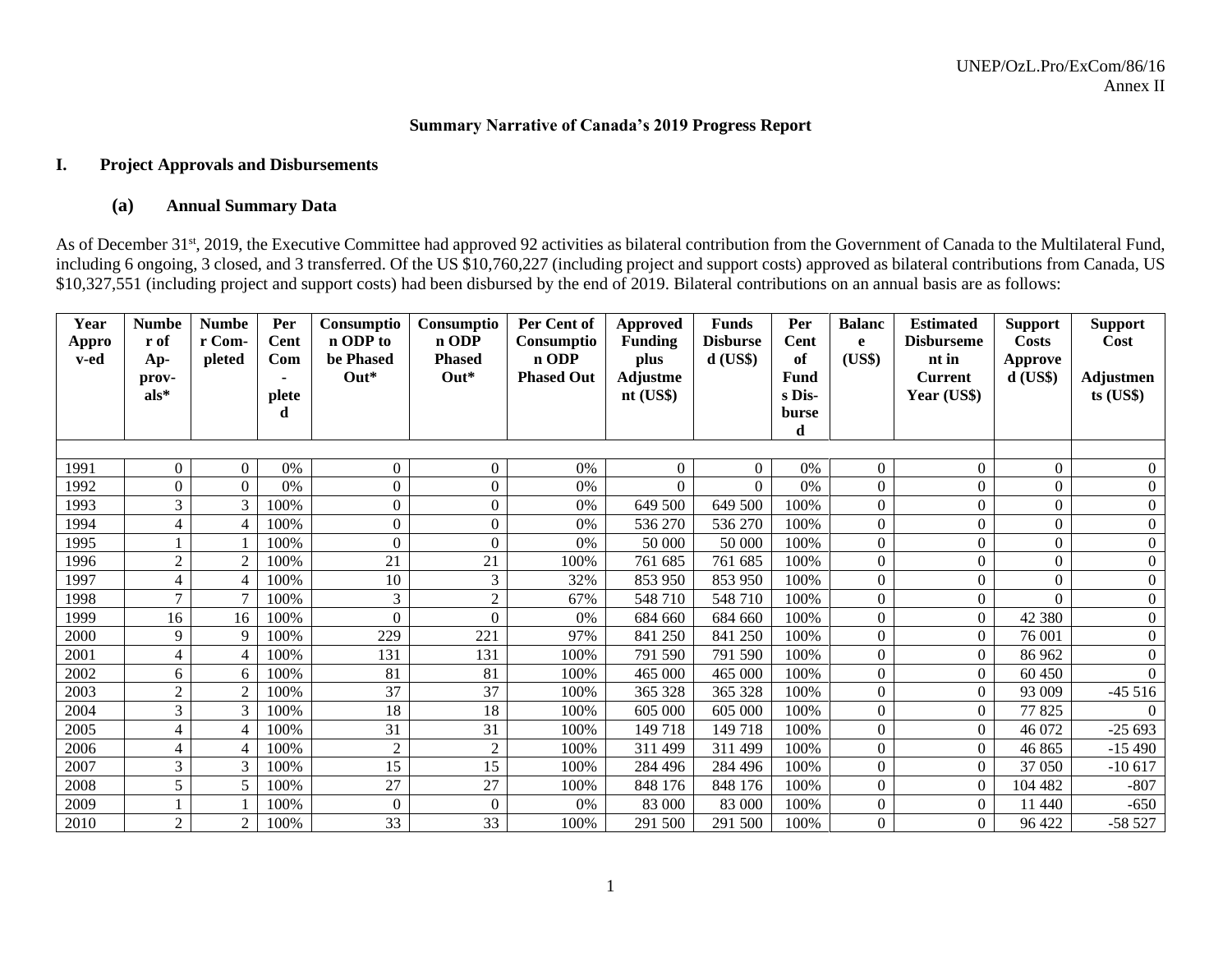#### **Summary Narrative of Canada's 2019 Progress Report**

#### **I. Project Approvals and Disbursements**

#### **(a) Annual Summary Data**

As of December 31<sup>st</sup>, 2019, the Executive Committee had approved 92 activities as bilateral contribution from the Government of Canada to the Multilateral Fund, including 6 ongoing, 3 closed, and 3 transferred. Of the US \$10,760,227 (including project and support costs) approved as bilateral contributions from Canada, US \$10,327,551 (including project and support costs) had been disbursed by the end of 2019. Bilateral contributions on an annual basis are as follows:

| Year          | <b>Numbe</b>   | <b>Numbe</b>     | Per         | Consumptio            | Consumptio             | Per Cent of         | <b>Approved</b>        | <b>Funds</b>                  | Per        | <b>Balanc</b>    | <b>Estimated</b>           | <b>Support</b>        | <b>Support</b>   |
|---------------|----------------|------------------|-------------|-----------------------|------------------------|---------------------|------------------------|-------------------------------|------------|------------------|----------------------------|-----------------------|------------------|
| Appro<br>v-ed | r of           | r Com-<br>pleted | Cent<br>Com | n ODP to<br>be Phased | n ODP<br><b>Phased</b> | Consumptio<br>n ODP | <b>Funding</b><br>plus | <b>Disburse</b><br>$d$ (US\$) | Cent<br>of | e<br>(US\$)      | <b>Disburseme</b><br>nt in | <b>Costs</b>          | Cost             |
|               | Ap-<br>prov-   |                  |             | $Out*$                | $Out*$                 | <b>Phased Out</b>   | Adjustme               |                               | Fund       |                  | <b>Current</b>             | Approve<br>$d$ (US\$) | <b>Adjustmen</b> |
|               | $als^*$        |                  | plete       |                       |                        |                     | nt (US\$)              |                               | s Dis-     |                  | Year (US\$)                |                       | $ts$ (US\$)      |
|               |                |                  | d           |                       |                        |                     |                        |                               | burse      |                  |                            |                       |                  |
|               |                |                  |             |                       |                        |                     |                        |                               | d          |                  |                            |                       |                  |
|               |                |                  |             |                       |                        |                     |                        |                               |            |                  |                            |                       |                  |
| 1991          | $\overline{0}$ | $\overline{0}$   | 0%          | $\Omega$              | $\mathbf{0}$           | 0%                  | $\theta$               | $\Omega$                      | $0\%$      | $\overline{0}$   | $\boldsymbol{0}$           | $\mathbf{0}$          | $\overline{0}$   |
| 1992          | $\mathbf{0}$   | $\Omega$         | 0%          | 0                     | $\overline{0}$         | 0%                  | $\Omega$               | $\Omega$                      | 0%         | $\Omega$         | $\overline{0}$             | $\mathbf{0}$          | $\boldsymbol{0}$ |
| 1993          | 3              | 3                | 100%        | $\Omega$              | $\boldsymbol{0}$       | 0%                  | 649 500                | 649 500                       | 100%       | $\Omega$         | $\overline{0}$             | $\Omega$              | $\overline{0}$   |
| 1994          | $\overline{4}$ | $\overline{4}$   | 100%        | 0                     | $\overline{0}$         | 0%                  | 536 270                | 536 270                       | 100%       | $\mathbf{0}$     | $\overline{0}$             | $\overline{0}$        | $\overline{0}$   |
| 1995          |                |                  | 100%        | 0                     | $\theta$               | 0%                  | 50 000                 | 50 000                        | 100%       | $\Omega$         | $\overline{0}$             | $\theta$              | $\overline{0}$   |
| 1996          | $\overline{2}$ | $\overline{2}$   | 100%        | 21                    | 21                     | 100%                | 761 685                | 761 685                       | 100%       | $\Omega$         | $\overline{0}$             | $\theta$              | $\boldsymbol{0}$ |
| 1997          | $\overline{4}$ | $\overline{4}$   | 100%        | 10                    | 3                      | 32%                 | 853 950                | 853 950                       | 100%       | $\Omega$         | $\overline{0}$             | $\theta$              | $\overline{0}$   |
| 1998          | 7              | $\mathcal{I}$    | 100%        | 3                     | $\overline{2}$         | 67%                 | 548 710                | 548 710                       | 100%       | $\boldsymbol{0}$ | $\overline{0}$             | $\Omega$              | $\overline{0}$   |
| 1999          | 16             | 16               | 100%        | $\Omega$              | $\overline{0}$         | 0%                  | 684 660                | 684 660                       | 100%       | $\Omega$         | $\overline{0}$             | 42 380                | $\boldsymbol{0}$ |
| 2000          | 9              | 9                | 100%        | 229                   | 221                    | 97%                 | 841 250                | 841 250                       | 100%       | $\theta$         | $\Omega$                   | 76 001                | $\overline{0}$   |
| 2001          | $\overline{4}$ | $\overline{4}$   | 100%        | 131                   | 131                    | 100%                | 791 590                | 791 590                       | 100%       | $\boldsymbol{0}$ | $\overline{0}$             | 86 962                | $\Omega$         |
| 2002          | 6              | 6                | 100%        | 81                    | 81                     | 100%                | 465 000                | 465 000                       | 100%       | $\overline{0}$   | $\overline{0}$             | 60 450                |                  |
| 2003          | $\overline{2}$ | $\overline{2}$   | 100%        | 37                    | 37                     | 100%                | 365 328                | 365 328                       | 100%       | $\Omega$         | $\Omega$                   | 93 009                | $-45516$         |
| 2004          | $\mathfrak{Z}$ | 3                | 100%        | 18                    | 18                     | 100%                | 605 000                | 605 000                       | 100%       | $\Omega$         | $\mathbf{0}$               | 77 825                |                  |
| 2005          | $\overline{4}$ | $\overline{4}$   | 100%        | 31                    | 31                     | 100%                | 149718                 | 149 718                       | 100%       | $\mathbf{0}$     | $\overline{0}$             | 46 072                | $-25693$         |
| 2006          | $\overline{4}$ | $\overline{4}$   | 100%        | $\overline{2}$        | $\overline{2}$         | 100%                | 311 499                | 311 499                       | 100%       | $\Omega$         | $\overline{0}$             | 46 865                | $-15490$         |
| 2007          | $\overline{3}$ | 3                | 100%        | 15                    | 15                     | 100%                | 284 496                | 284 496                       | 100%       | $\Omega$         | $\theta$                   | 37 050                | $-10617$         |
| 2008          | 5              | 5                | 100%        | 27                    | 27                     | 100%                | 848 176                | 848 176                       | 100%       | $\Omega$         | $\overline{0}$             | 104 482               | $-807$           |
| 2009          |                |                  | 100%        | $\Omega$              | $\boldsymbol{0}$       | 0%                  | 83 000                 | 83 000                        | 100%       | $\boldsymbol{0}$ | $\boldsymbol{0}$           | 11 440                | $-650$           |
| 2010          | 2              | $\overline{2}$   | 100%        | 33                    | 33                     | 100%                | 291 500                | 291 500                       | 100%       | $\Omega$         | $\overline{0}$             | 96 422                | $-58527$         |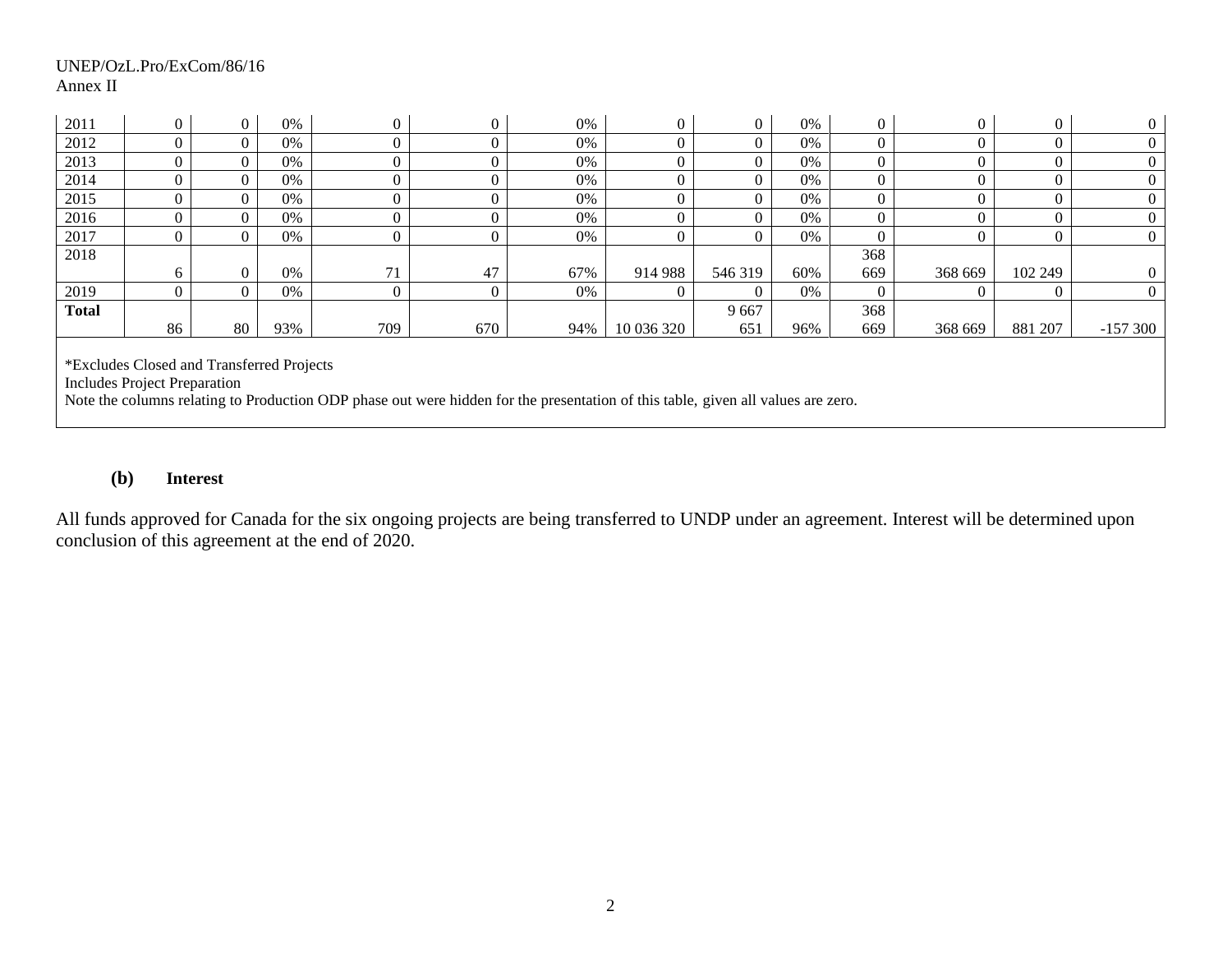#### UNEP/OzL.Pro/ExCom/86/16 Annex II

| 2011         | $\overline{0}$                                                                                                                                                                                                       | $\overline{0}$ | 0%    |     |     | 0%    | $\overline{0}$ |         | 0%    | $\theta$ |         | $\Omega$ | $\Omega$  |  |
|--------------|----------------------------------------------------------------------------------------------------------------------------------------------------------------------------------------------------------------------|----------------|-------|-----|-----|-------|----------------|---------|-------|----------|---------|----------|-----------|--|
| 2012         | $\overline{0}$                                                                                                                                                                                                       | $\overline{0}$ | 0%    |     |     | 0%    |                |         | $0\%$ |          |         | 0        |           |  |
| 2013         | 0                                                                                                                                                                                                                    | $\overline{0}$ | $0\%$ |     |     | 0%    |                |         | 0%    | $\Omega$ |         | $\Omega$ |           |  |
| 2014         | $\overline{0}$                                                                                                                                                                                                       | $\overline{0}$ | $0\%$ |     |     | 0%    |                |         | 0%    |          |         |          |           |  |
| 2015         | $\Omega$                                                                                                                                                                                                             | $\overline{0}$ | 0%    |     |     | $0\%$ |                |         | 0%    |          |         | 0        |           |  |
| 2016         | 0                                                                                                                                                                                                                    | $\overline{0}$ | $0\%$ |     |     | $0\%$ |                |         | 0%    |          |         |          |           |  |
| 2017         | $\overline{0}$                                                                                                                                                                                                       | $\overline{0}$ | 0%    |     |     | 0%    |                |         | $0\%$ |          |         |          |           |  |
| 2018<br>368  |                                                                                                                                                                                                                      |                |       |     |     |       |                |         |       |          |         |          |           |  |
|              | 6                                                                                                                                                                                                                    | $\overline{0}$ | 0%    | 71  | 47  | 67%   | 914 988        | 546 319 | 60%   | 669      | 368 669 | 102 249  |           |  |
| 2019         | 0                                                                                                                                                                                                                    | $\overline{0}$ | 0%    |     |     | 0%    |                |         | 0%    |          |         |          |           |  |
| <b>Total</b> |                                                                                                                                                                                                                      |                |       |     |     |       |                | 9667    |       | 368      |         |          |           |  |
|              | 86                                                                                                                                                                                                                   | 80             | 93%   | 709 | 670 | 94%   | 10 036 320     | 651     | 96%   | 669      | 368 669 | 881 207  | $-157300$ |  |
|              | *Excludes Closed and Transferred Projects<br><b>Includes Project Preparation</b><br>Note the columns relating to Production ODP phase out were hidden for the presentation of this table, given all values are zero. |                |       |     |     |       |                |         |       |          |         |          |           |  |

# **(b) Interest**

All funds approved for Canada for the six ongoing projects are being transferred to UNDP under an agreement. Interest will be determined upon conclusion of this agreement at the end of 2020.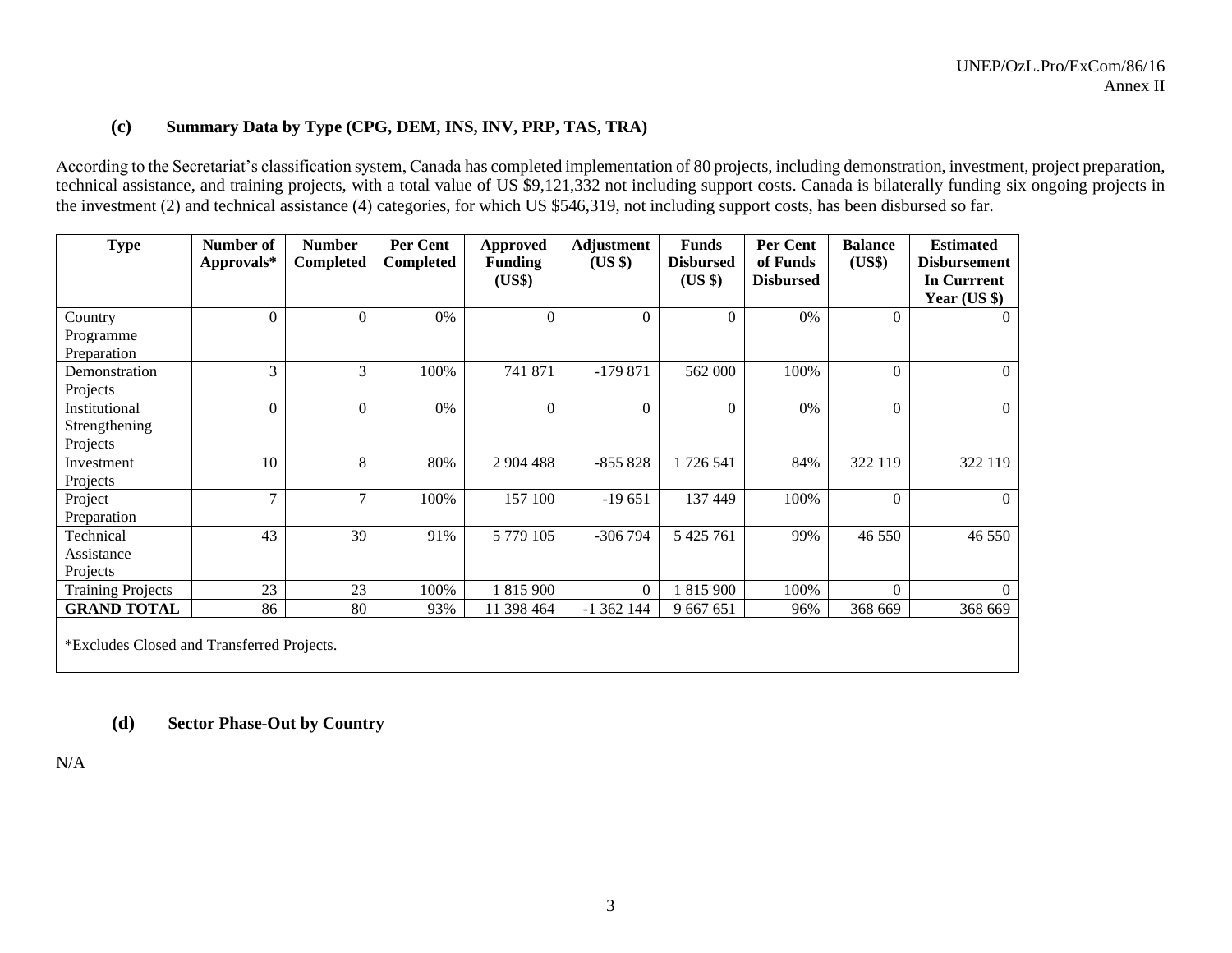# **(c) Summary Data by Type (CPG, DEM, INS, INV, PRP, TAS, TRA)**

According to the Secretariat's classification system, Canada has completed implementation of 80 projects, including demonstration, investment, project preparation, technical assistance, and training projects, with a total value of US \$9,121,332 not including support costs. Canada is bilaterally funding six ongoing projects in the investment (2) and technical assistance (4) categories, for which US \$546,319, not including support costs, has been disbursed so far.

| <b>Type</b>                                | Number of  | <b>Number</b> | Per Cent         | <b>Approved</b>  | Adjustment | <b>Funds</b>     | Per Cent         | <b>Balance</b> | <b>Estimated</b>    |
|--------------------------------------------|------------|---------------|------------------|------------------|------------|------------------|------------------|----------------|---------------------|
|                                            | Approvals* | Completed     | <b>Completed</b> | <b>Funding</b>   | (US \$)    | <b>Disbursed</b> | of Funds         | (US\$)         | <b>Disbursement</b> |
|                                            |            |               |                  | (US\$)           |            | (US \$)          | <b>Disbursed</b> |                | <b>In Currrent</b>  |
|                                            |            |               |                  |                  |            |                  |                  |                | Year $(US \$        |
| Country                                    | $\theta$   | $\theta$      | 0%               | $\overline{0}$   | $\theta$   | $\Omega$         | 0%               | $\theta$       | $\Omega$            |
| Programme                                  |            |               |                  |                  |            |                  |                  |                |                     |
| Preparation                                |            |               |                  |                  |            |                  |                  |                |                     |
| Demonstration                              | 3          | 3             | 100%             | 741 871          | $-179871$  | 562 000          | 100%             | $\theta$       | $\overline{0}$      |
| Projects                                   |            |               |                  |                  |            |                  |                  |                |                     |
| Institutional                              | $\theta$   | $\Omega$      | 0%               | $\boldsymbol{0}$ | $\Omega$   | $\overline{0}$   | 0%               | $\theta$       | $\Omega$            |
| Strengthening                              |            |               |                  |                  |            |                  |                  |                |                     |
| Projects                                   |            |               |                  |                  |            |                  |                  |                |                     |
| Investment                                 | 10         | 8             | 80%              | 2 904 488        | $-855828$  | 1726 541         | 84%              | 322 119        | 322 119             |
| Projects                                   |            |               |                  |                  |            |                  |                  |                |                     |
| Project                                    | 7          | $\tau$        | 100%             | 157 100          | $-19651$   | 137 449          | 100%             | $\theta$       | $\Omega$            |
| Preparation                                |            |               |                  |                  |            |                  |                  |                |                     |
| Technical                                  | 43         | 39            | 91%              | 5 779 105        | $-306794$  | 5 4 25 7 61      | 99%              | 46 550         | 46 550              |
| Assistance                                 |            |               |                  |                  |            |                  |                  |                |                     |
| Projects                                   |            |               |                  |                  |            |                  |                  |                |                     |
| <b>Training Projects</b>                   | 23         | 23            | 100%             | 1 815 900        | $\theta$   | 1 815 900        | 100%             | $\Omega$       | $\Omega$            |
| <b>GRAND TOTAL</b>                         | 86         | 80            | 93%              | 11 398 464       | $-1362144$ | 9 667 651        | 96%              | 368 669        | 368 669             |
| *Excludes Closed and Transferred Projects. |            |               |                  |                  |            |                  |                  |                |                     |
|                                            |            |               |                  |                  |            |                  |                  |                |                     |

# **(d) Sector Phase-Out by Country**

N/A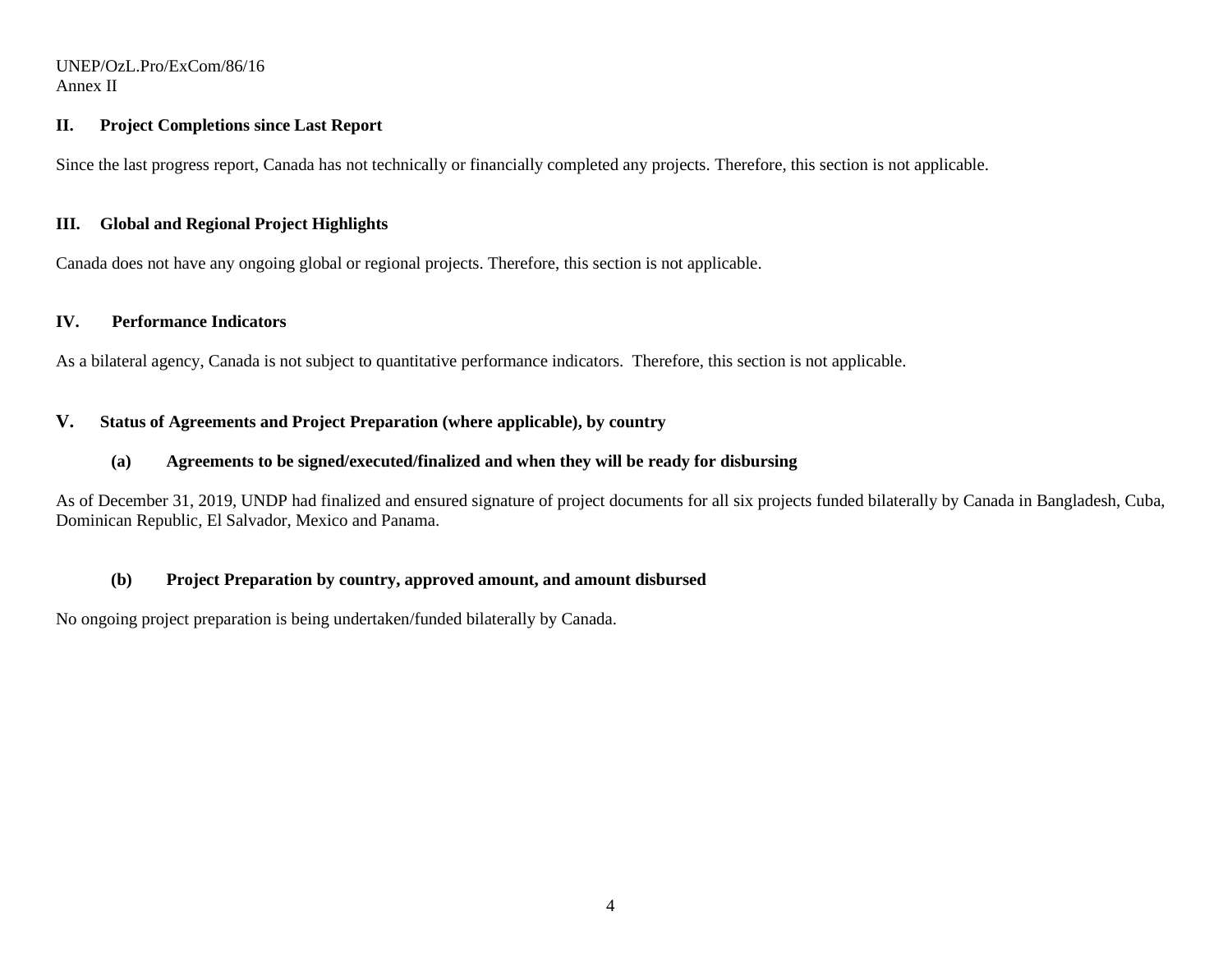#### UNEP/OzL.Pro/ExCom/86/16 Annex II

#### **II. Project Completions since Last Report**

Since the last progress report, Canada has not technically or financially completed any projects. Therefore, this section is not applicable.

#### **III. Global and Regional Project Highlights**

Canada does not have any ongoing global or regional projects. Therefore, this section is not applicable.

# **IV. Performance Indicators**

As a bilateral agency, Canada is not subject to quantitative performance indicators. Therefore, this section is not applicable.

# **V. Status of Agreements and Project Preparation (where applicable), by country**

### **(a) Agreements to be signed/executed/finalized and when they will be ready for disbursing**

As of December 31, 2019, UNDP had finalized and ensured signature of project documents for all six projects funded bilaterally by Canada in Bangladesh, Cuba, Dominican Republic, El Salvador, Mexico and Panama.

# **(b) Project Preparation by country, approved amount, and amount disbursed**

No ongoing project preparation is being undertaken/funded bilaterally by Canada.